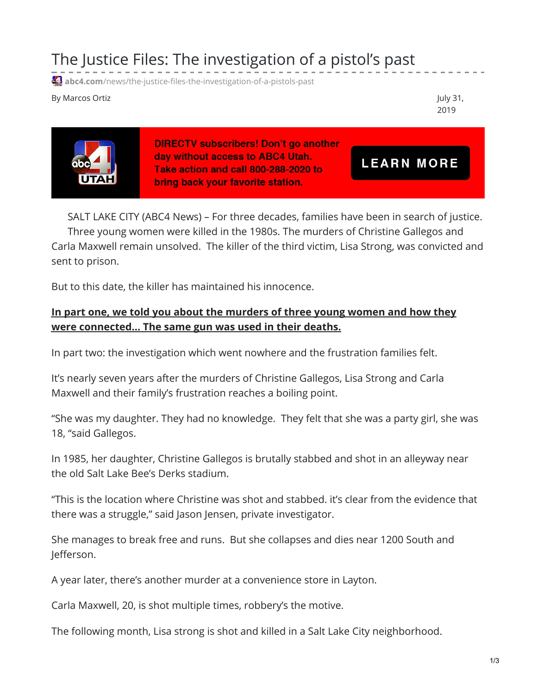The Justice Files: The investigation of a pistol's past

**4.** abc4.com[/news/the-justice-files-the-investigation-of-a-pistols-past](https://www.abc4.com/news/the-justice-files-the-investigation-of-a-pistols-past/)

By Marcos Ortiz July 31,

2019

**LEARN MORE** 



**DIRECTV subscribers! Don't go another** day without access to ABC4 Utah. Take action and call 800-288-2020 to bring back your favorite station.

SALT LAKE CITY (ABC4 News) – For three decades, families have been in search of justice. Three young women were killed in the 1980s. The murders of Christine Gallegos and Carla Maxwell remain unsolved. The killer of the third victim, Lisa Strong, was convicted and sent to prison.

But to this date, the killer has maintained his innocence.

## **In part one, we told you about the murders of three young women and how they were [connected…](https://www.abc4.com/news/the-justice-files-a-pistols-past/) The same gun was used in their deaths.**

In part two: the investigation which went nowhere and the frustration families felt.

It's nearly seven years after the murders of Christine Gallegos, Lisa Strong and Carla Maxwell and their family's frustration reaches a boiling point.

"She was my daughter. They had no knowledge. They felt that she was a party girl, she was 18, "said Gallegos.

In 1985, her daughter, Christine Gallegos is brutally stabbed and shot in an alleyway near the old Salt Lake Bee's Derks stadium.

"This is the location where Christine was shot and stabbed. it's clear from the evidence that there was a struggle," said Jason Jensen, private investigator.

She manages to break free and runs. But she collapses and dies near 1200 South and Jefferson.

A year later, there's another murder at a convenience store in Layton.

Carla Maxwell, 20, is shot multiple times, robbery's the motive.

The following month, Lisa strong is shot and killed in a Salt Lake City neighborhood.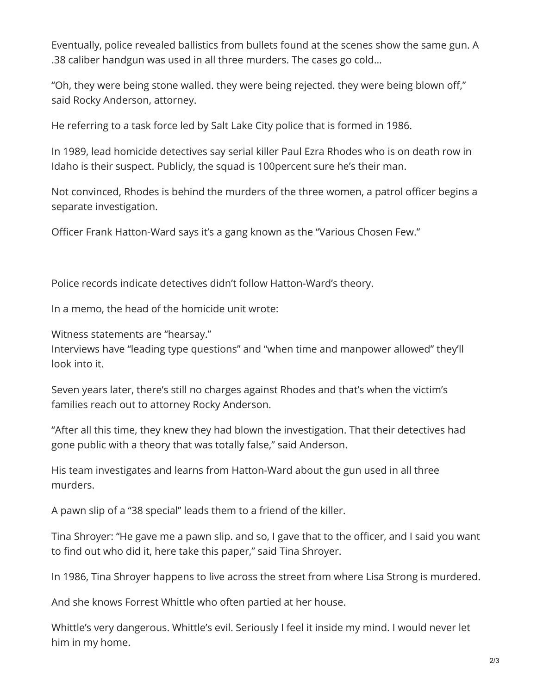Eventually, police revealed ballistics from bullets found at the scenes show the same gun. A .38 caliber handgun was used in all three murders. The cases go cold…

"Oh, they were being stone walled. they were being rejected. they were being blown off," said Rocky Anderson, attorney.

He referring to a task force led by Salt Lake City police that is formed in 1986.

In 1989, lead homicide detectives say serial killer Paul Ezra Rhodes who is on death row in Idaho is their suspect. Publicly, the squad is 100percent sure he's their man.

Not convinced, Rhodes is behind the murders of the three women, a patrol officer begins a separate investigation.

Officer Frank Hatton-Ward says it's a gang known as the "Various Chosen Few."

Police records indicate detectives didn't follow Hatton-Ward's theory.

In a memo, the head of the homicide unit wrote:

Witness statements are "hearsay."

Interviews have "leading type questions" and "when time and manpower allowed" they'll look into it.

Seven years later, there's still no charges against Rhodes and that's when the victim's families reach out to attorney Rocky Anderson.

"After all this time, they knew they had blown the investigation. That their detectives had gone public with a theory that was totally false," said Anderson.

His team investigates and learns from Hatton-Ward about the gun used in all three murders.

A pawn slip of a "38 special" leads them to a friend of the killer.

Tina Shroyer: "He gave me a pawn slip. and so, I gave that to the officer, and I said you want to find out who did it, here take this paper," said Tina Shroyer.

In 1986, Tina Shroyer happens to live across the street from where Lisa Strong is murdered.

And she knows Forrest Whittle who often partied at her house.

Whittle's very dangerous. Whittle's evil. Seriously I feel it inside my mind. I would never let him in my home.